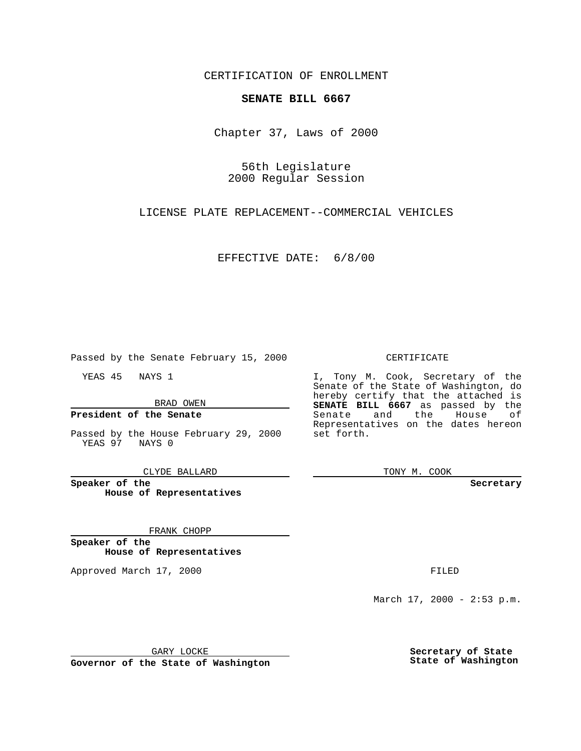CERTIFICATION OF ENROLLMENT

## **SENATE BILL 6667**

Chapter 37, Laws of 2000

56th Legislature 2000 Regular Session

LICENSE PLATE REPLACEMENT--COMMERCIAL VEHICLES

EFFECTIVE DATE: 6/8/00

Passed by the Senate February 15, 2000

YEAS 45 NAYS 1

BRAD OWEN

### **President of the Senate**

Passed by the House February 29, 2000 YEAS 97 NAYS 0

CLYDE BALLARD

**Speaker of the House of Representatives**

#### FRANK CHOPP

**Speaker of the House of Representatives**

Approved March 17, 2000 FILED

#### CERTIFICATE

I, Tony M. Cook, Secretary of the Senate of the State of Washington, do hereby certify that the attached is **SENATE BILL 6667** as passed by the Senate and the House of Representatives on the dates hereon set forth.

TONY M. COOK

**Secretary**

March 17, 2000 - 2:53 p.m.

GARY LOCKE

**Governor of the State of Washington**

**Secretary of State State of Washington**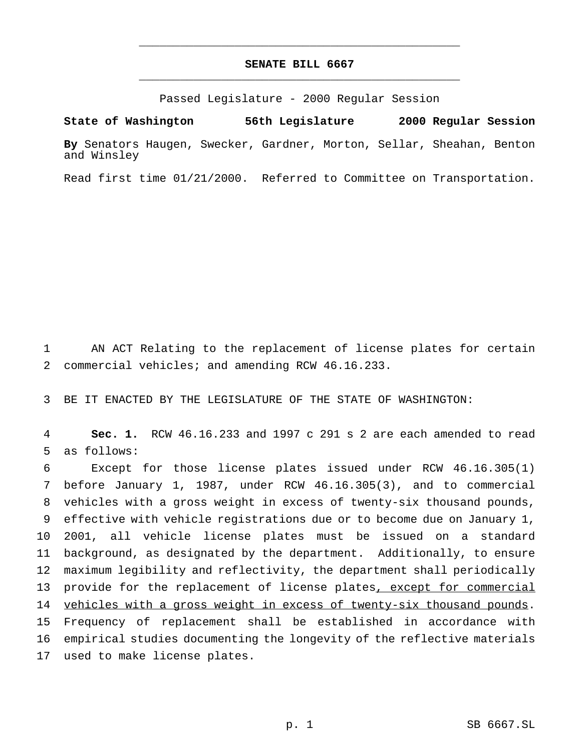# **SENATE BILL 6667** \_\_\_\_\_\_\_\_\_\_\_\_\_\_\_\_\_\_\_\_\_\_\_\_\_\_\_\_\_\_\_\_\_\_\_\_\_\_\_\_\_\_\_\_\_\_\_

\_\_\_\_\_\_\_\_\_\_\_\_\_\_\_\_\_\_\_\_\_\_\_\_\_\_\_\_\_\_\_\_\_\_\_\_\_\_\_\_\_\_\_\_\_\_\_

Passed Legislature - 2000 Regular Session

**State of Washington 56th Legislature 2000 Regular Session**

**By** Senators Haugen, Swecker, Gardner, Morton, Sellar, Sheahan, Benton and Winsley

Read first time 01/21/2000. Referred to Committee on Transportation.

1 AN ACT Relating to the replacement of license plates for certain 2 commercial vehicles; and amending RCW 46.16.233.

3 BE IT ENACTED BY THE LEGISLATURE OF THE STATE OF WASHINGTON:

4 **Sec. 1.** RCW 46.16.233 and 1997 c 291 s 2 are each amended to read 5 as follows:

 Except for those license plates issued under RCW 46.16.305(1) before January 1, 1987, under RCW 46.16.305(3), and to commercial vehicles with a gross weight in excess of twenty-six thousand pounds, effective with vehicle registrations due or to become due on January 1, 2001, all vehicle license plates must be issued on a standard background, as designated by the department. Additionally, to ensure maximum legibility and reflectivity, the department shall periodically 13 provide for the replacement of license plates, except for commercial 14 vehicles with a gross weight in excess of twenty-six thousand pounds. Frequency of replacement shall be established in accordance with empirical studies documenting the longevity of the reflective materials used to make license plates.